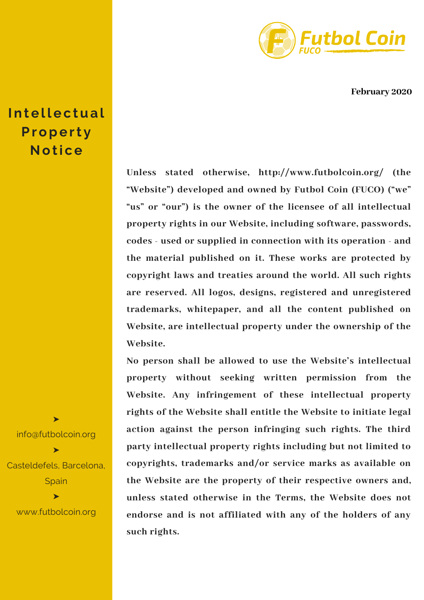

**February 2020**

**Unless stated otherwise, http://www.futbolcoin.org/ (the "Website") developed and owned by Futbol Coin (FUCO) ("we" "us" or "our") is the owner of the licensee of all intellectual property rights in our Website, including software, passwords, codes - used or supplied in connection with its operation - and the material published on it. These works are protected by copyright laws and treaties around the world. All such rights are reserved. All logos, designs, registered and unregistered trademarks, whitepaper, and all the content published on Website, are intellectual property under the ownership of the Website.**

**No person shall be allowed to use the Website's intellectual property without seeking written permission from the Website. Any infringement of these intellectual property rights of the Website shall entitle the Website to initiate legal action against the person infringing such rights. The third party intellectual property rights including but not limited to copyrights, trademarks and/or service marks as available on the Website are the property of their respective owners and, unless stated otherwise in the Terms, the Website does not endorse and is not affiliated with any of the holders of any such rights.**

 $In$  **tellectual Prope rt y Noti c e**

info@futbolcoin.org ➤ Casteldefels, Barcelona, **Spain** ➤

➤

www.futbolcoin.org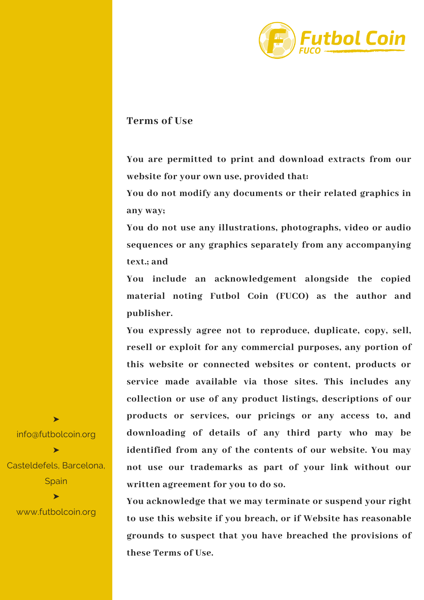

## **Terms of Use**

**You are permitted to print and download extracts from our website for your own use, provided that:**

**You do not modify any documents or their related graphics in any way;**

**You do not use any illustrations, photographs, video or audio sequences or any graphics separately from any accompanying text.; and**

**You include an acknowledgement alongside the copied material noting Futbol Coin (FUCO) as the author and publisher.**

**You expressly agree not to reproduce, duplicate, copy, sell, resell or exploit for any commercial purposes, any portion of this website or connected websites or content, products or service made available via those sites. This includes any collection or use of any product listings, descriptions of our products or services, our pricings or any access to, and downloading of details of any third party who may be identified from any of the contents of our website. You may not use our trademarks as part of your link without our written agreement for you to do so.**

**You acknowledge that we may terminate or suspend your right to use this website if you breach, or if Website has reasonable grounds to suspect that you have breached the provisions of these Terms of Use.**

info@futbolcoin.org ➤ Casteldefels, Barcelona, **Spain** ➤

➤

www.futbolcoin.org